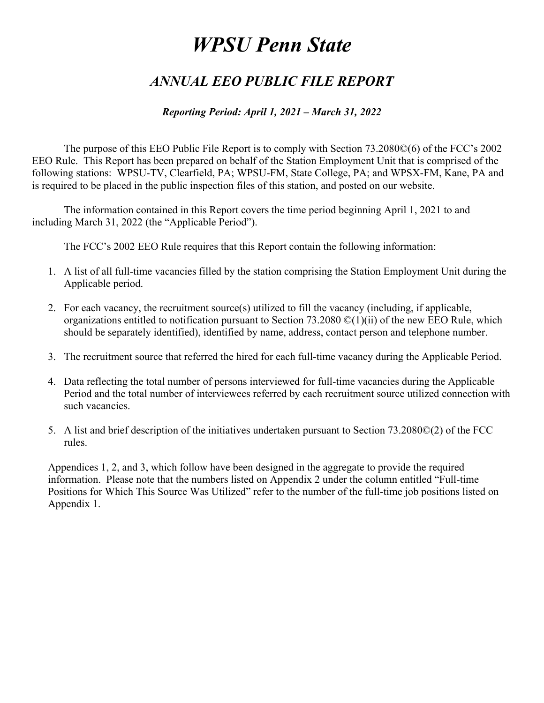## *ANNUAL EEO PUBLIC FILE REPORT*

#### *Reporting Period: April 1, 2021 – March 31, 2022*

 The purpose of this EEO Public File Report is to comply with Section 73.2080©(6) of the FCC's 2002 EEO Rule. This Report has been prepared on behalf of the Station Employment Unit that is comprised of the following stations: WPSU-TV, Clearfield, PA; WPSU-FM, State College, PA; and WPSX-FM, Kane, PA and is required to be placed in the public inspection files of this station, and posted on our website.

 The information contained in this Report covers the time period beginning April 1, 2021 to and including March 31, 2022 (the "Applicable Period").

The FCC's 2002 EEO Rule requires that this Report contain the following information:

- 1. A list of all full-time vacancies filled by the station comprising the Station Employment Unit during the Applicable period.
- 2. For each vacancy, the recruitment source(s) utilized to fill the vacancy (including, if applicable, organizations entitled to notification pursuant to Section 73.2080  $\mathcal{O}(1)(ii)$  of the new EEO Rule, which should be separately identified), identified by name, address, contact person and telephone number.
- 3. The recruitment source that referred the hired for each full-time vacancy during the Applicable Period.
- 4. Data reflecting the total number of persons interviewed for full-time vacancies during the Applicable Period and the total number of interviewees referred by each recruitment source utilized connection with such vacancies.
- 5. A list and brief description of the initiatives undertaken pursuant to Section 73.2080©(2) of the FCC rules.

Appendices 1, 2, and 3, which follow have been designed in the aggregate to provide the required information. Please note that the numbers listed on Appendix 2 under the column entitled "Full-time Positions for Which This Source Was Utilized" refer to the number of the full-time job positions listed on Appendix 1.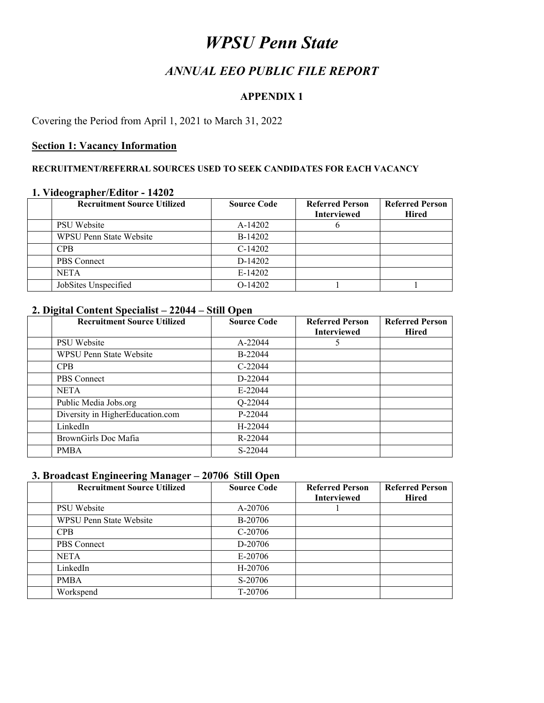### *ANNUAL EEO PUBLIC FILE REPORT*

#### **APPENDIX 1**

#### Covering the Period from April 1, 2021 to March 31, 2022

#### **Section 1: Vacancy Information**

#### **RECRUITMENT/REFERRAL SOURCES USED TO SEEK CANDIDATES FOR EACH VACANCY**

#### **1. Videographer/Editor - 14202**

| <b>Recruitment Source Utilized</b> | <b>Source Code</b> | <b>Referred Person</b><br><b>Interviewed</b> | <b>Referred Person</b><br><b>Hired</b> |
|------------------------------------|--------------------|----------------------------------------------|----------------------------------------|
| PSU Website                        | A-14202            |                                              |                                        |
| <b>WPSU Penn State Website</b>     | B-14202            |                                              |                                        |
| <b>CPB</b>                         | $C-14202$          |                                              |                                        |
| PBS Connect                        | D-14202            |                                              |                                        |
| <b>NETA</b>                        | E-14202            |                                              |                                        |
| JobSites Unspecified               | $O-14202$          |                                              |                                        |

#### **2. Digital Content Specialist – 22044 – Still Open**

| <b>Recruitment Source Utilized</b> | <b>Source Code</b> | <b>Referred Person</b><br><b>Interviewed</b> | <b>Referred Person</b><br><b>Hired</b> |
|------------------------------------|--------------------|----------------------------------------------|----------------------------------------|
| PSU Website                        | A-22044            | 5                                            |                                        |
| <b>WPSU Penn State Website</b>     | B-22044            |                                              |                                        |
| <b>CPB</b>                         | $C-22044$          |                                              |                                        |
| <b>PBS</b> Connect                 | D-22044            |                                              |                                        |
| <b>NETA</b>                        | $E-22044$          |                                              |                                        |
| Public Media Jobs.org              | Q-22044            |                                              |                                        |
| Diversity in HigherEducation.com   | P-22044            |                                              |                                        |
| LinkedIn                           | H-22044            |                                              |                                        |
| BrownGirls Doc Mafia               | R-22044            |                                              |                                        |
| <b>PMBA</b>                        | S-22044            |                                              |                                        |

#### **3. Broadcast Engineering Manager – 20706 Still Open**

| <b>Recruitment Source Utilized</b> | <b>Source Code</b> | <b>Referred Person</b><br><b>Interviewed</b> | <b>Referred Person</b><br><b>Hired</b> |
|------------------------------------|--------------------|----------------------------------------------|----------------------------------------|
|                                    |                    |                                              |                                        |
| <b>PSU</b> Website                 | A-20706            |                                              |                                        |
| <b>WPSU Penn State Website</b>     | <b>B-20706</b>     |                                              |                                        |
| <b>CPB</b>                         | $C-20706$          |                                              |                                        |
| <b>PBS</b> Connect                 | D-20706            |                                              |                                        |
| <b>NETA</b>                        | $E-20706$          |                                              |                                        |
| LinkedIn                           | H-20706            |                                              |                                        |
| <b>PMBA</b>                        | S-20706            |                                              |                                        |
| Workspend                          | T-20706            |                                              |                                        |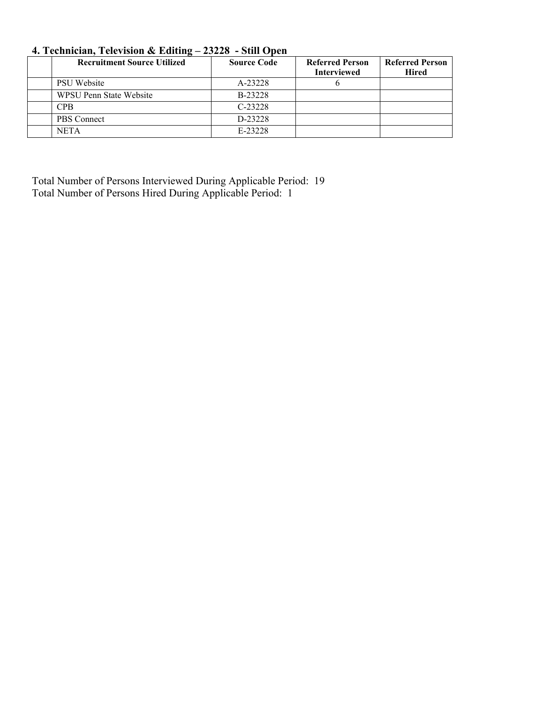| <b>Recruitment Source Utilized</b> | <b>Source Code</b> | <b>Referred Person</b><br><b>Interviewed</b> | <b>Referred Person</b><br>Hired |
|------------------------------------|--------------------|----------------------------------------------|---------------------------------|
| <b>PSU</b> Website                 | A-23228            |                                              |                                 |
| WPSU Penn State Website            | B-23228            |                                              |                                 |
| <b>CPB</b>                         | $C-23228$          |                                              |                                 |
| PBS Connect                        | D-23228            |                                              |                                 |
| <b>NETA</b>                        | E-23228            |                                              |                                 |

#### **4. Technician, Television & Editing – 23228 - Still Open**

Total Number of Persons Interviewed During Applicable Period: 19 Total Number of Persons Hired During Applicable Period: 1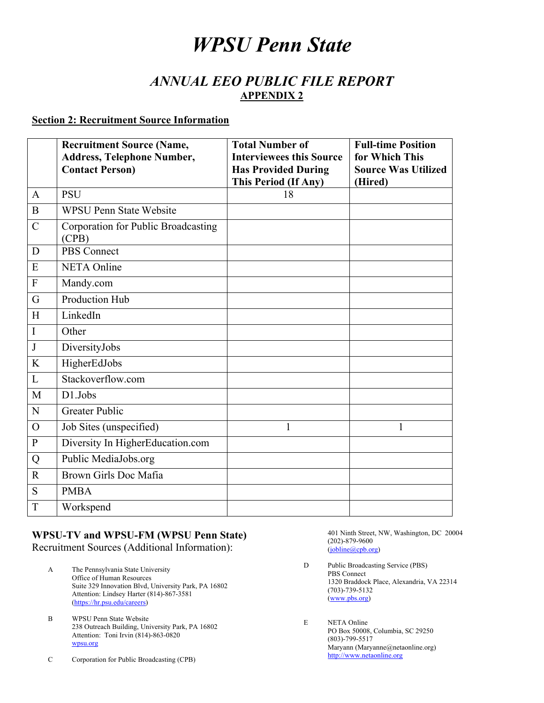### *ANNUAL EEO PUBLIC FILE REPORT*  **APPENDIX 2**

#### **Section 2: Recruitment Source Information**

|                | <b>Recruitment Source (Name,</b><br><b>Address, Telephone Number,</b> | <b>Total Number of</b><br><b>Interviewees this Source</b> | <b>Full-time Position</b><br>for Which This |
|----------------|-----------------------------------------------------------------------|-----------------------------------------------------------|---------------------------------------------|
|                | <b>Contact Person)</b>                                                | <b>Has Provided During</b><br>This Period (If Any)        | <b>Source Was Utilized</b><br>(Hired)       |
| $\mathbf{A}$   | <b>PSU</b>                                                            | 18                                                        |                                             |
| $\mathbf B$    | <b>WPSU Penn State Website</b>                                        |                                                           |                                             |
| $\mathbf C$    | Corporation for Public Broadcasting<br>(CPB)                          |                                                           |                                             |
| D              | <b>PBS</b> Connect                                                    |                                                           |                                             |
| E              | <b>NETA</b> Online                                                    |                                                           |                                             |
| ${\bf F}$      | Mandy.com                                                             |                                                           |                                             |
| G              | Production Hub                                                        |                                                           |                                             |
| H              | LinkedIn                                                              |                                                           |                                             |
| I              | Other                                                                 |                                                           |                                             |
| $\mathbf{J}$   | DiversityJobs                                                         |                                                           |                                             |
| K              | HigherEdJobs                                                          |                                                           |                                             |
| $\mathbf{L}$   | Stackoverflow.com                                                     |                                                           |                                             |
| M              | D1.Jobs                                                               |                                                           |                                             |
| N              | <b>Greater Public</b>                                                 |                                                           |                                             |
| $\overline{O}$ | Job Sites (unspecified)                                               | 1                                                         | 1                                           |
| ${\bf P}$      | Diversity In HigherEducation.com                                      |                                                           |                                             |
| Q              | Public MediaJobs.org                                                  |                                                           |                                             |
| $\overline{R}$ | Brown Girls Doc Mafia                                                 |                                                           |                                             |
| S              | <b>PMBA</b>                                                           |                                                           |                                             |
| T              | Workspend                                                             |                                                           |                                             |

# **WPSU-TV and WPSU-FM (WPSU Penn State)**

Recruitment Sources (Additional Information):

- A The Pennsylvania State University Office of Human Resources Suite 329 Innovation Blvd, University Park, PA 16802 Attention: Lindsey Harter (814)-867-3581 (https://hr.psu.edu/careers)
- B WPSU Penn State Website 238 Outreach Building, University Park, PA 16802 Attention: Toni Irvin (814)-863-0820 wpsu.org
- C Corporation for Public Broadcasting (CPB)

 401 Ninth Street, NW, Washington, DC 20004 (202)-879-9600 (jobline@cpb.org)

- D Public Broadcasting Service (PBS) PBS Connect 1320 Braddock Place, Alexandria, VA 22314 (703)-739-5132 (www.pbs.org)
- E NETA Online PO Box 50008, Columbia, SC 29250 (803)-799-5517 Maryann (Maryanne@netaonline.org) http://www.netaonline.org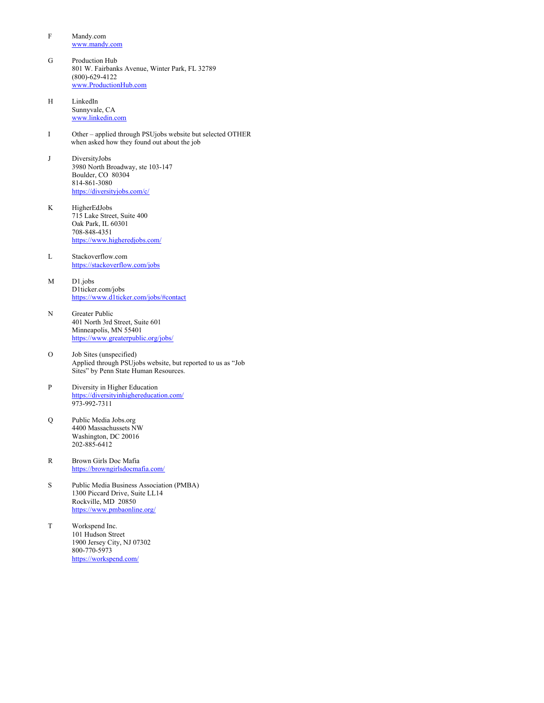- F Mandy.com www.mandy.com
- G Production Hub 801 W. Fairbanks Avenue, Winter Park, FL 32789 (800)-629-4122 www.ProductionHub.com
- H LinkedIn Sunnyvale, CA www.linkedin.com
- I Other applied through PSUjobs website but selected OTHER when asked how they found out about the job
- J DiversityJobs 3980 North Broadway, ste 103-147 Boulder, CO 80304 814-861-3080 https://diversityjobs.com/c/
- K HigherEdJobs 715 Lake Street, Suite 400 Oak Park, IL 60301 708-848-4351 https://www.higheredjobs.com/
- L Stackoverflow.com https://stackoverflow.com/jobs
- M D1.jobs D1ticker.com/jobs https://www.d1ticker.com/jobs/#contact
- N Greater Public 401 North 3rd Street, Suite 601 Minneapolis, MN 55401 https://www.greaterpublic.org/jobs/
- O Job Sites (unspecified) Applied through PSUjobs website, but reported to us as "Job Sites" by Penn State Human Resources.
- P Diversity in Higher Education https://diversityinhighereducation.com/ 973-992-7311
- $\overline{O}$ Public Media Jobs.org 4400 Massachussets NW Washington, DC 20016 202-885-6412
- R Brown Girls Doc Mafia https://browngirlsdocmafia.com/
- S Public Media Business Association (PMBA) 1300 Piccard Drive, Suite LL14 Rockville, MD 20850 https://www.pmbaonline.org/
- T Workspend Inc. 101 Hudson Street 1900 Jersey City, NJ 07302 800-770-5973 https://workspend.com/